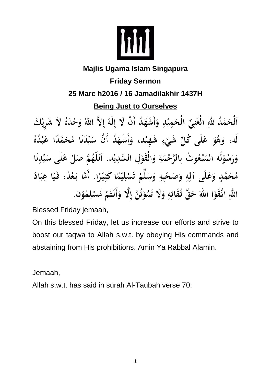

## **Majlis Ugama Islam Singapura**

# **Friday Sermon 25 Marc h2016 / 16 Jamadilakhir 1437H**

## **Being Just to Ourselves**

ٱلْحَمْدُ للَّهِ الْغَنِيِّ الْحَمِيْدِ وَأَشْهَدُ أَنْ لَا إِلَهَ إِلاَّ اللَّهُ وَحْدَهُ لاَ شَرِيْكَ لَه، وَهُوَ عَلَى كُلِّ شَيْءٍ شَهِيْد، وَأَشْهَدُ أَنَّ سَيِّدَنَا مُحَمَّدًا عَبْدُهُ وَرَسُوْلُه المَبْعُوتُ بِالرَّحْمَةِ وَالْقَوْلِ السَّدِيْدِ، اَللَّهُمَّ صَلِّ عَلَى سَيِّدِنَا مُحَمَّدٍ وَعَلَى آلِهِ وَصَحْبِهِ وَسَلِّمْ تَسْلِيْمًا كَثِيْرًا. أَمَّا بَعْدُ، فَيَا عِبَادَ اللهِ اتَّقُوْا اللهَ حَقَّ تُقَاتِهِ وَلَا تَمُوْتُنَّ إِلَّا وَأَنْتُمْ مُسْلِمُوْن.

Blessed Friday jemaah,

On this blessed Friday, let us increase our efforts and strive to boost our taqwa to Allah s.w.t. by obeying His commands and abstaining from His prohibitions. Amin Ya Rabbal Alamin.

Jemaah,

Allah s.w.t. has said in surah Al-Taubah verse 70: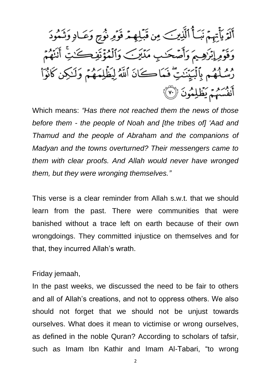أَلَةً يَأْتِهِمُ نَبَأُ ٱلَّذِينَ مِن قَبَلِهِمْ قَوَٰهِ نُوۡجٍ وَعَـادِ وَتَـٰمُودَ وَقَوْمِ إِبْرَٰهِيمَ وَأَصَّحَـٰبِ مَدْيَنَ وَٱلْمُؤْتَفِكَـٰتِّ أَنَنَّهُمَّ رْسُلُهُم بِٱلْبَيِّنَٰتِ ۖ فَمَاكَانَ ٱللَّهُ لِيَظِّلِمَهُمْ وَلَـٰكِن كَانُوٓاْ أَنفُسَهُمْ يَظْلِمُونَ ۞

Which means: *"Has there not reached them the news of those before them - the people of Noah and [the tribes of] 'Aad and Thamud and the people of Abraham and the companions of Madyan and the towns overturned? Their messengers came to them with clear proofs. And Allah would never have wronged them, but they were wronging themselves."*

This verse is a clear reminder from Allah s.w.t. that we should learn from the past. There were communities that were banished without a trace left on earth because of their own wrongdoings. They committed injustice on themselves and for that, they incurred Allah's wrath.

#### Friday jemaah,

In the past weeks, we discussed the need to be fair to others and all of Allah's creations, and not to oppress others. We also should not forget that we should not be unjust towards ourselves. What does it mean to victimise or wrong ourselves, as defined in the noble Quran? According to scholars of tafsir, such as Imam Ibn Kathir and Imam Al-Tabari, "to wrong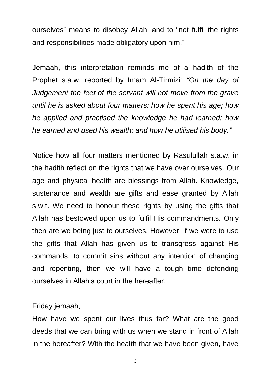ourselves" means to disobey Allah, and to "not fulfil the rights and responsibilities made obligatory upon him."

Jemaah, this interpretation reminds me of a hadith of the Prophet s.a.w. reported by Imam Al-Tirmizi: *"On the day of Judgement the feet of the servant will not move from the grave until he is asked about four matters: how he spent his age; how he applied and practised the knowledge he had learned; how he earned and used his wealth; and how he utilised his body."*

Notice how all four matters mentioned by Rasulullah s.a.w. in the hadith reflect on the rights that we have over ourselves. Our age and physical health are blessings from Allah. Knowledge, sustenance and wealth are gifts and ease granted by Allah s.w.t. We need to honour these rights by using the gifts that Allah has bestowed upon us to fulfil His commandments. Only then are we being just to ourselves. However, if we were to use the gifts that Allah has given us to transgress against His commands, to commit sins without any intention of changing and repenting, then we will have a tough time defending ourselves in Allah's court in the hereafter.

### Friday jemaah,

How have we spent our lives thus far? What are the good deeds that we can bring with us when we stand in front of Allah in the hereafter? With the health that we have been given, have

3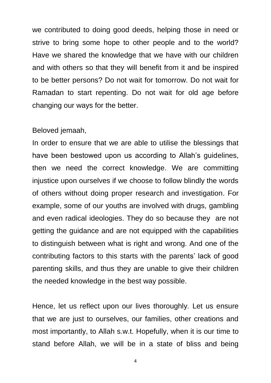we contributed to doing good deeds, helping those in need or strive to bring some hope to other people and to the world? Have we shared the knowledge that we have with our children and with others so that they will benefit from it and be inspired to be better persons? Do not wait for tomorrow. Do not wait for Ramadan to start repenting. Do not wait for old age before changing our ways for the better.

#### Beloved jemaah,

In order to ensure that we are able to utilise the blessings that have been bestowed upon us according to Allah's guidelines, then we need the correct knowledge. We are committing injustice upon ourselves if we choose to follow blindly the words of others without doing proper research and investigation. For example, some of our youths are involved with drugs, gambling and even radical ideologies. They do so because they are not getting the guidance and are not equipped with the capabilities to distinguish between what is right and wrong. And one of the contributing factors to this starts with the parents' lack of good parenting skills, and thus they are unable to give their children the needed knowledge in the best way possible.

Hence, let us reflect upon our lives thoroughly. Let us ensure that we are just to ourselves, our families, other creations and most importantly, to Allah s.w.t. Hopefully, when it is our time to stand before Allah, we will be in a state of bliss and being

4